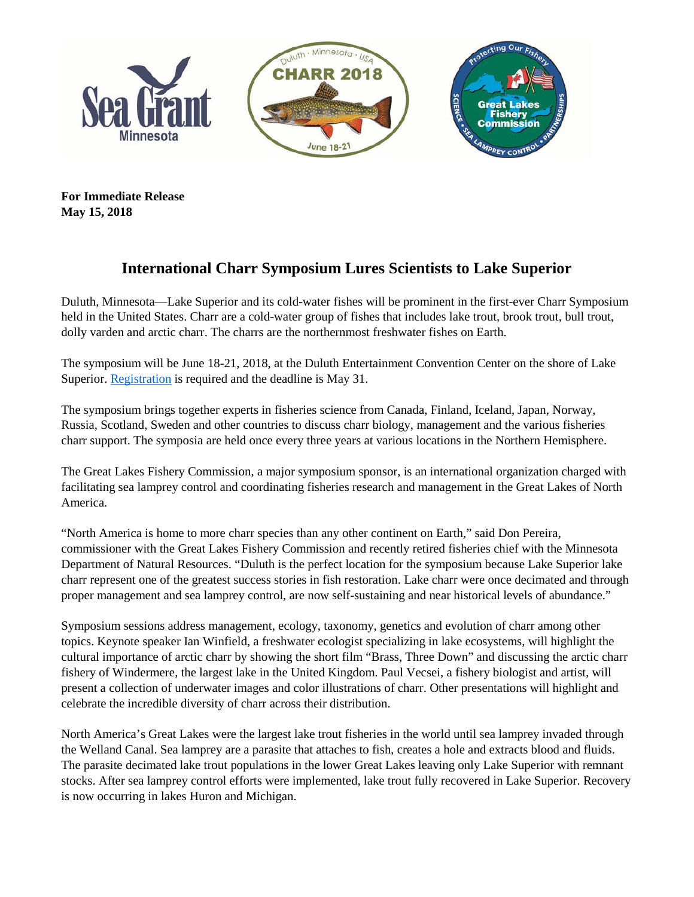

**For Immediate Release May 15, 2018**

## **International Charr Symposium Lures Scientists to Lake Superior**

Duluth, Minnesota—Lake Superior and its cold-water fishes will be prominent in the first-ever Charr Symposium held in the United States. Charr are a cold-water group of fishes that includes lake trout, brook trout, bull trout, dolly varden and arctic charr. The charrs are the northernmost freshwater fishes on Earth.

The symposium will be June 18-21, 2018, at the Duluth Entertainment Convention Center on the shore of Lake Superior. [Registration](http://charr.glfc.org/#register) is required and the deadline is May 31.

The symposium brings together experts in fisheries science from Canada, Finland, Iceland, Japan, Norway, Russia, Scotland, Sweden and other countries to discuss charr biology, management and the various fisheries charr support. The symposia are held once every three years at various locations in the Northern Hemisphere.

The Great Lakes Fishery Commission, a major symposium sponsor, is an international organization charged with facilitating sea lamprey control and coordinating fisheries research and management in the Great Lakes of North America.

"North America is home to more charr species than any other continent on Earth," said Don Pereira, commissioner with the Great Lakes Fishery Commission and recently retired fisheries chief with the Minnesota Department of Natural Resources. "Duluth is the perfect location for the symposium because Lake Superior lake charr represent one of the greatest success stories in fish restoration. Lake charr were once decimated and through proper management and sea lamprey control, are now self-sustaining and near historical levels of abundance."

Symposium sessions address management, ecology, taxonomy, genetics and evolution of charr among other topics. Keynote speaker Ian Winfield, a freshwater ecologist specializing in lake ecosystems, will highlight the cultural importance of arctic charr by showing the short film "Brass, Three Down" and discussing the arctic charr fishery of Windermere, the largest lake in the United Kingdom. Paul Vecsei, a fishery biologist and artist, will present a collection of underwater images and color illustrations of charr. Other presentations will highlight and celebrate the incredible diversity of charr across their distribution.

North America's Great Lakes were the largest lake trout fisheries in the world until sea lamprey invaded through the Welland Canal. Sea lamprey are a parasite that attaches to fish, creates a hole and extracts blood and fluids. The parasite decimated lake trout populations in the lower Great Lakes leaving only Lake Superior with remnant stocks. After sea lamprey control efforts were implemented, lake trout fully recovered in Lake Superior. Recovery is now occurring in lakes Huron and Michigan.